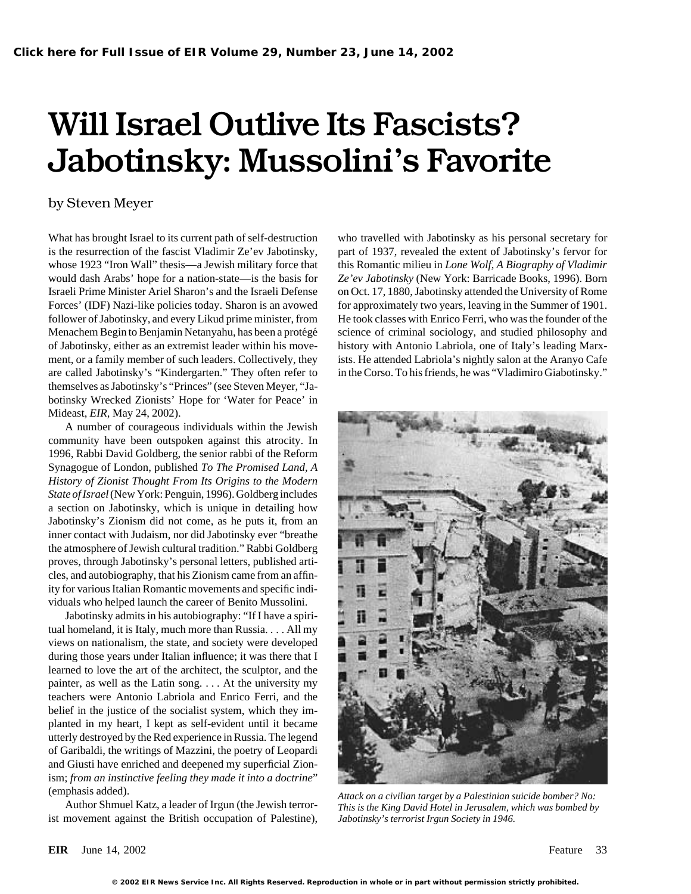## Will Israel Outlive Its Fascists? Jabotinsky: Mussolini's Favorite

### by Steven Meyer

is the resurrection of the fascist Vladimir Ze'ev Jabotinsky, part of 1937, revealed the extent of Jabotinsky's fervor for whose 1923 "Iron Wall" thesis—a Jewish military force that this Romantic milieu in *Lone Wolf, A Biography of Vladimir* would dash Arabs' hope for a nation-state—is the basis for *Ze'ev Jabotinsky* (New York: Barricade Books, 1996). Born Israeli Prime Minister Ariel Sharon's and the Israeli Defense on Oct. 17, 1880, Jabotinsky attended the University of Rome Forces' (IDF) Nazi-like policies today. Sharon is an avowed for approximately two years, leaving in the Summer of 1901. follower of Jabotinsky, and every Likud prime minister, from He took classes with Enrico Ferri, who was the founder of the Menachem Begin to Benjamin Netanyahu, has been a protégé science of criminal sociology, and studied philosophy and of Jabotinsky, either as an extremist leader within his move- history with Antonio Labriola, one of Italy's leading Marxment, or a family member of such leaders. Collectively, they ists. He attended Labriola's nightly salon at the Aranyo Cafe are called Jabotinsky's "Kindergarten." They often refer to in the Corso. To his friends, he was "Vladimiro Giabotinsky." themselves as Jabotinsky's "Princes" (see Steven Meyer, "Jabotinsky Wrecked Zionists' Hope for 'Water for Peace' in Mideast, *EIR,* May 24, 2002).

A number of courageous individuals within the Jewish community have been outspoken against this atrocity. In 1996, Rabbi David Goldberg, the senior rabbi of the Reform Synagogue of London, published *To The Promised Land, A History of Zionist Thought From Its Origins to the Modern State of Israel*(New York: Penguin, 1996). Goldberg includes a section on Jabotinsky, which is unique in detailing how Jabotinsky's Zionism did not come, as he puts it, from an inner contact with Judaism, nor did Jabotinsky ever "breathe the atmosphere of Jewish cultural tradition." Rabbi Goldberg proves, through Jabotinsky's personal letters, published articles, and autobiography, that his Zionism came from an affinity for various Italian Romantic movements and specific individuals who helped launch the career of Benito Mussolini.

Jabotinsky admits in his autobiography: "If I have a spiritual homeland, it is Italy, much more than Russia. . . . All my views on nationalism, the state, and society were developed during those years under Italian influence; it was there that I learned to love the art of the architect, the sculptor, and the painter, as well as the Latin song. . . . At the university my teachers were Antonio Labriola and Enrico Ferri, and the belief in the justice of the socialist system, which they implanted in my heart, I kept as self-evident until it became utterly destroyed by the Red experience in Russia. The legend of Garibaldi, the writings of Mazzini, the poetry of Leopardi and Giusti have enriched and deepened my superficial Zionism; *from an instinctive feeling they made it into a doctrine*"

ist movement against the British occupation of Palestine), *Jabotinsky's terrorist Irgun Society in 1946.*

What has brought Israel to its current path of self-destruction who travelled with Jabotinsky as his personal secretary for



(emphasis added). *Attack on a civilian target by a Palestinian suicide bomber? No:* Author Shmuel Katz, a leader of Irgun (the Jewish terror- *This is the King David Hotel in Jerusalem, which was bombed by*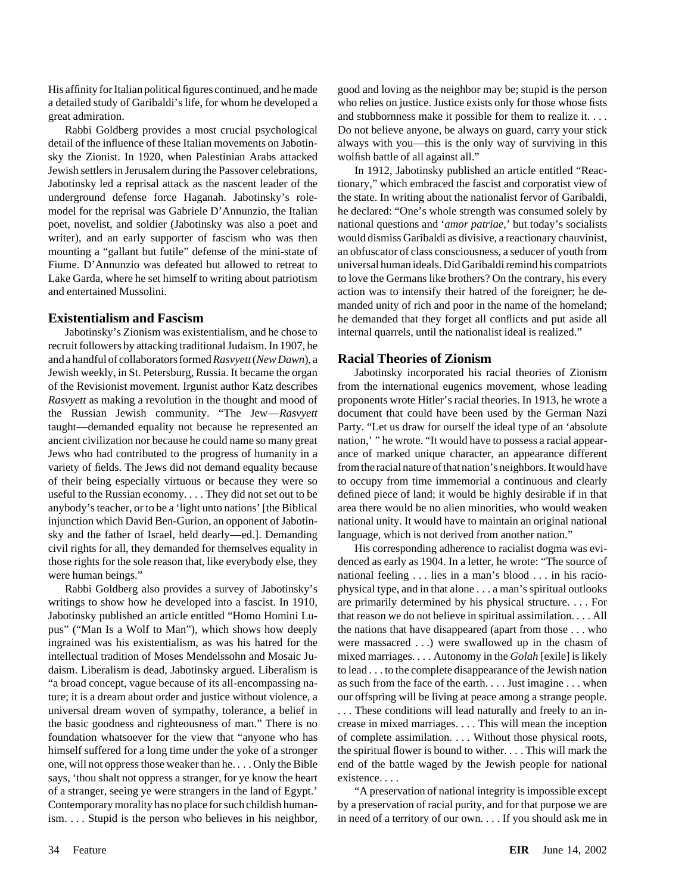His affinity for Italian politicalfigures continued, and he made good and loving as the neighbor may be; stupid is the person a detailed study of Garibaldi's life, for whom he developed a who relies on justice. Justice exists only for those whose fists great admiration. and stubbornness make it possible for them to realize it. . . .

detail of the influence of these Italian movements on Jabotin- always with you—this is the only way of surviving in this sky the Zionist. In 1920, when Palestinian Arabs attacked wolfish battle of all against all." Jewish settlers in Jerusalem during the Passover celebrations, In 1912, Jabotinsky published an article entitled "Reac-Jabotinsky led a reprisal attack as the nascent leader of the tionary," which embraced the fascist and corporatist view of underground defense force Haganah. Jabotinsky's role- the state. In writing about the nationalist fervor of Garibaldi, model for the reprisal was Gabriele D'Annunzio, the Italian he declared: "One's whole strength was consumed solely by poet, novelist, and soldier (Jabotinsky was also a poet and national questions and '*amor patriae,*' but today's socialists writer), and an early supporter of fascism who was then would dismiss Garibaldi as divisive, a reactionary chauvinist, mounting a "gallant but futile" defense of the mini-state of an obfuscator of class consciousness, a seducer of youth from Fiume. D'Annunzio was defeated but allowed to retreat to universal human ideals. Did Garibaldi remind his compatriots Lake Garda, where he set himself to writing about patriotism to love the Germans like brothers? On the contrary, his every and entertained Mussolini. Action was to intensify their hatred of the foreigner; he de-

Jabotinsky's Zionism was existentialism, and he chose to internal quarrels, until the nationalist ideal is realized." recruit followers by attacking traditional Judaism. In 1907, he and a handful of collaborators formed*Rasvyett*(*New Dawn*), a **Racial Theories of Zionism** Jewish weekly, in St. Petersburg, Russia. It became the organ Jabotinsky incorporated his racial theories of Zionism of the Revisionist movement. Irgunist author Katz describes from the international eugenics movement, whose leading *Rasvyett* as making a revolution in the thought and mood of proponents wrote Hitler's racial theories. In 1913, he wrote a the Russian Jewish community. "The Jew—*Rasvyett* document that could have been used by the German Nazi taught—demanded equality not because he represented an Party. "Let us draw for ourself the ideal type of an 'absolute ancient civilization nor because he could name so many great nation, " he wrote. "It would have to possess a racial appear-Jews who had contributed to the progress of humanity in a ance of marked unique character, an appearance different variety of fields. The Jews did not demand equality because from the racial nature of that nation's neighbors. It would have of their being especially virtuous or because they were so to occupy from time immemorial a continuous and clearly useful to the Russian economy.... They did not set out to be defined piece of land; it would be highly desirable if in that anybody's teacher, or to be a 'light unto nations' [the Biblical area there would be no alien minorities, who would weaken injunction which David Ben-Gurion, an opponent of Jabotin- national unity. It would have to maintain an original national sky and the father of Israel, held dearly—ed.]. Demanding language, which is not derived from another nation." civil rights for all, they demanded for themselves equality in His corresponding adherence to racialist dogma was evithose rights for the sole reason that, like everybody else, they denced as early as 1904. In a letter, he wrote: "The source of were human beings." national feeling . . . lies in a man's blood . . . in his racio-

writings to show how he developed into a fascist. In 1910, are primarily determined by his physical structure. . . . For Jabotinsky published an article entitled "Homo Homini Lu- that reason we do not believe in spiritual assimilation. . . . All pus" ("Man Is a Wolf to Man"), which shows how deeply the nations that have disappeared (apart from those . . . who ingrained was his existentialism, as was his hatred for the were massacred . . .) were swallowed up in the chasm of intellectual tradition of Moses Mendelssohn and Mosaic Ju- mixed marriages. . . . Autonomy in the *Golah* [exile] is likely daism. Liberalism is dead, Jabotinsky argued. Liberalism is to lead . . . to the complete disappearance of the Jewish nation "a broad concept, vague because of its all-encompassing na- as such from the face of the earth. . . . Just imagine . . . when ture; it is a dream about order and justice without violence, a our offspring will be living at peace among a strange people. universal dream woven of sympathy, tolerance, a belief in ... These conditions will lead naturally and freely to an inthe basic goodness and righteousness of man." There is no crease in mixed marriages. . . . This will mean the inception foundation whatsoever for the view that "anyone who has of complete assimilation. . . Without those physical roots, himself suffered for a long time under the yoke of a stronger the spiritual flower is bound to wither. . . . This will mark the one, will not oppress those weaker than he. . . . Only the Bible end of the battle waged by the Jewish people for national says, 'thou shalt not oppress a stranger, for ye know the heart existence.... of a stranger, seeing ye were strangers in the land of Egypt.' "A preservation of national integrity is impossible except Contemporary morality has no place for such childish human- by a preservation of racial purity, and for that purpose we are ism. . . . Stupid is the person who believes in his neighbor, in need of a territory of our own. . . . If you should ask me in

Rabbi Goldberg provides a most crucial psychological Do not believe anyone, be always on guard, carry your stick

manded unity of rich and poor in the name of the homeland; **Existentialism and Fascism** he demanded that they forget all conflicts and put aside all conflicts and put aside all

Rabbi Goldberg also provides a survey of Jabotinsky's physical type, and in that alone . . . a man's spiritual outlooks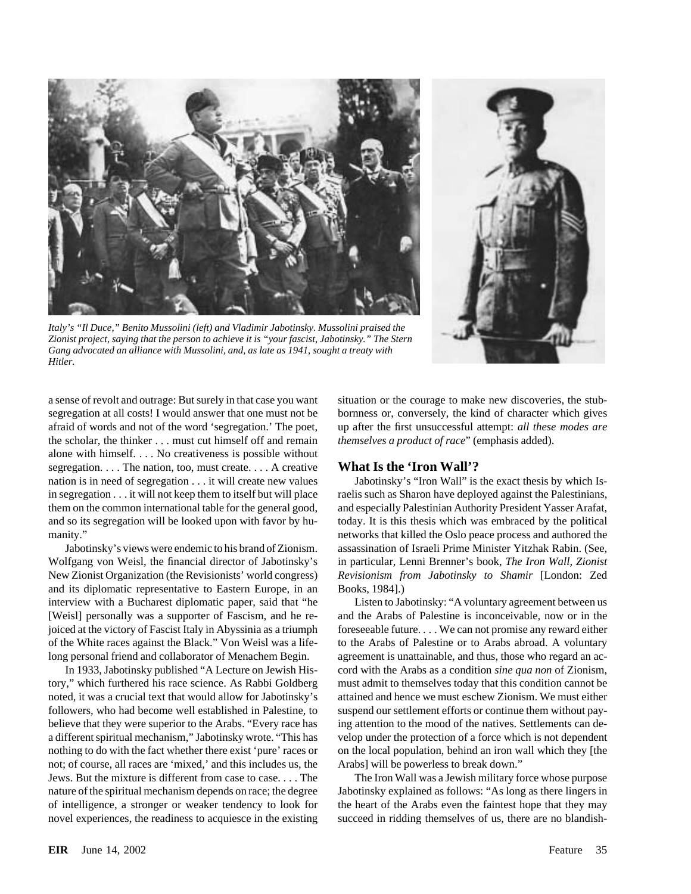

*Italy's "Il Duce," Benito Mussolini (left) and Vladimir Jabotinsky. Mussolini praised the Zionist project, saying that the person to achieve it is "your fascist, Jabotinsky." The Stern Gang advocated an alliance with Mussolini, and, as late as 1941, sought a treaty with Hitler.*



segregation at all costs! I would answer that one must not be bornness or, conversely, the kind of character which gives afraid of words and not of the word 'segregation.' The poet, up after the first unsuccessful attempt: *all these modes are* the scholar, the thinker . . . must cut himself off and remain *themselves a product of race*" (emphasis added). alone with himself. . . . No creativeness is possible without segregation. . . . The nation, too, must create. . . . A creative **What Is the 'Iron Wall'?** nation is in need of segregation . . . it will create new values Jabotinsky's "Iron Wall" is the exact thesis by which Isin segregation . . . it will not keep them to itself but will place raelis such as Sharon have deployed against the Palestinians, them on the common international table for the general good, and especially Palestinian Authority President Yasser Arafat, and so its segregation will be looked upon with favor by hu- today. It is this thesis which was embraced by the political manity." networks that killed the Oslo peace process and authored the

Wolfgang von Weisl, the financial director of Jabotinsky's in particular, Lenni Brenner's book, *The Iron Wall, Zionist* New Zionist Organization (the Revisionists' world congress) *Revisionism from Jabotinsky to Shamir* [London: Zed and its diplomatic representative to Eastern Europe, in an Books, 1984].) interview with a Bucharest diplomatic paper, said that "he Listen to Jabotinsky: "A voluntary agreement between us [Weisl] personally was a supporter of Fascism, and he re- and the Arabs of Palestine is inconceivable, now or in the joiced at the victory of Fascist Italy in Abyssinia as a triumph foreseeable future.... We can not promise any reward either of the White races against the Black." Von Weisl was a life- to the Arabs of Palestine or to Arabs abroad. A voluntary long personal friend and collaborator of Menachem Begin. agreement is unattainable, and thus, those who regard an ac-

tory," which furthered his race science. As Rabbi Goldberg must admit to themselves today that this condition cannot be noted, it was a crucial text that would allow for Jabotinsky's attained and hence we must eschew Zionism. We must either followers, who had become well established in Palestine, to suspend our settlement efforts or continue them without paybelieve that they were superior to the Arabs. "Every race has ing attention to the mood of the natives. Settlements can dea different spiritual mechanism," Jabotinsky wrote. "This has velop under the protection of a force which is not dependent nothing to do with the fact whether there exist 'pure' races or on the local population, behind an iron wall which they [the not; of course, all races are 'mixed,' and this includes us, the Arabs] will be powerless to break down." Jews. But the mixture is different from case to case. . . . The The Iron Wall was a Jewish military force whose purpose nature of the spiritual mechanism depends on race; the degree Jabotinsky explained as follows: "As long as there lingers in of intelligence, a stronger or weaker tendency to look for the heart of the Arabs even the faintest hope that they may novel experiences, the readiness to acquiesce in the existing succeed in ridding themselves of us, there are no blandish-

a sense of revolt and outrage: But surely in that case you want situation or the courage to make new discoveries, the stub-

Jabotinsky's views were endemic to his brand of Zionism. assassination of Israeli Prime Minister Yitzhak Rabin. (See,

In 1933, Jabotinsky published "A Lecture on Jewish His- cord with the Arabs as a condition *sine qua non* of Zionism,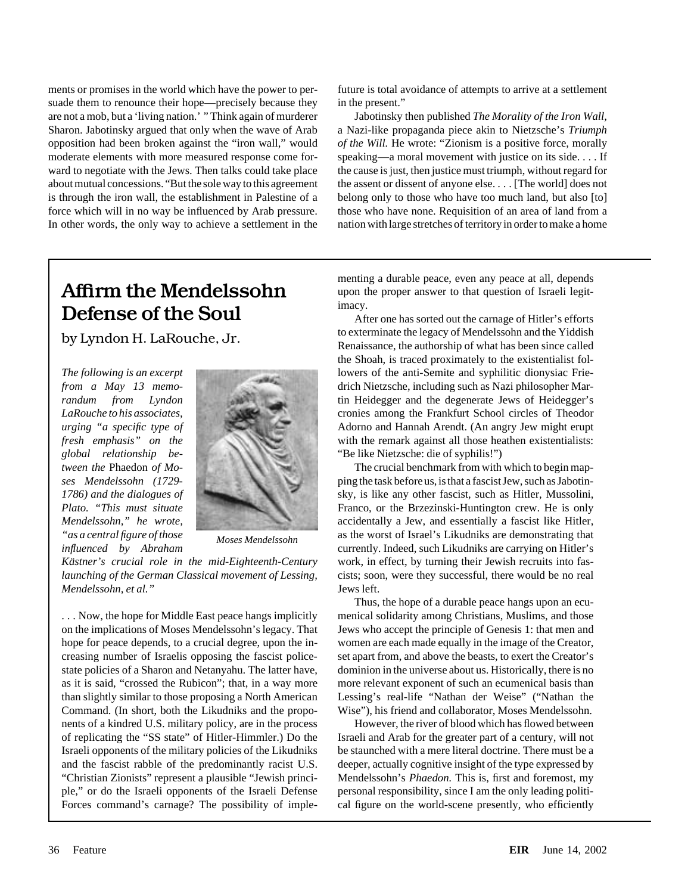ments or promises in the world which have the power to per- future is total avoidance of attempts to arrive at a settlement suade them to renounce their hope—precisely because they in the present."

# **Defense of the Soul** After one has sorted out the carnage of Hitler's efforts



*Mendelssohn, et al."* Jews left.

. . . Now, the hope for Middle East peace hangs implicitly menical solidarity among Christians, Muslims, and those on the implications of Moses Mendelssohn's legacy. That Jews who accept the principle of Genesis 1: that men and hope for peace depends, to a crucial degree, upon the in-<br>women are each made equally in the image of the Creator, state policies of a Sharon and Netanyahu. The latter have, dominion in the universe about us. Historically, there is no Command. (In short, both the Likudniks and the propo- Wise"), his friend and collaborator, Moses Mendelssohn. nents of a kindred U.S. military policy, are in the process However, the river of blood which has flowed between of replicating the "SS state" of Hitler-Himmler.) Do the Israeli and Arab for the greater part of a century, will not Israeli opponents of the military policies of the Likudniks be staunched with a mere literal doctrine. There must be a and the fascist rabble of the predominantly racist U.S. deeper, actually cognitive insight of the type expressed by "Christian Zionists" represent a plausible "Jewish princi- Mendelssohn's *Phaedon.* This is, first and foremost, my ple," or do the Israeli opponents of the Israeli Defense personal responsibility, since I am the only leading politi-Forces command's carnage? The possibility of imple- cal figure on the world-scene presently, who efficiently

are not a mob, but a 'living nation.' " Think again of murderer Jabotinsky then published *The Morality of the Iron Wall,* Sharon. Jabotinsky argued that only when the wave of Arab a Nazi-like propaganda piece akin to Nietzsche's *Triumph* opposition had been broken against the "iron wall," would *of the Will.* He wrote: "Zionism is a positive force, morally moderate elements with more measured response come for- speaking—a moral movement with justice on its side. . . . If ward to negotiate with the Jews. Then talks could take place the cause is just, then justice must triumph, without regard for about mutual concessions. "But the sole way to this agreement the assent or dissent of anyone else. . . . [The world] does not is through the iron wall, the establishment in Palestine of a belong only to those who have too much land, but also [to] force which will in no way be influenced by Arab pressure. those who have none. Requisition of an area of land from a In other words, the only way to achieve a settlement in the nation with large stretches of territory in order to make a home

menting a durable peace, even any peace at all, depends Affirm the Mendelssohn upon the proper answer to that question of Israeli legit-<br>  $R_{\text{max}}$ 

to exterminate the legacy of Mendelssohn and the Yiddish by Lyndon H. LaRouche, Jr.<br>Renaissance, the authorship of what has been since called the Shoah, is traced proximately to the existentialist fol-*The following is an excerpt* **lowers** of the anti-Semite and syphilitic dionysiac Frie*from a May 13 memo-* drich Nietzsche, including such as Nazi philosopher Mar*randum from Lyndon* **the contract of the time of the time of the team of the degenerate Jews of Heidegger's** *LaRouche to his associates,* cronies among the Frankfurt School circles of Theodor *urging* "*a specific type of*  $\blacksquare$  Adorno and Hannah Arendt. (An angry Jew might erupt *fresh emphasis" on the* with the remark against all those heathen existentialists: *global relationship be-* "Be like Nietzsche: die of syphilis!")

*tween the* Phaedon *of Mo-* The crucial benchmark from with which to begin map*ses Mendelssohn (1729-* ping the task before us, is that a fascist Jew, such as Jabotin-*1786) and the dialogues of* sky, is like any other fascist, such as Hitler, Mussolini, *Plato.* "This must situate **Franco**, or the Brzezinski-Huntington crew. He is only Franco, or the Brzezinski-Huntington crew. He is only *Mendelssohn," he wrote,* accidentally a Jew, and essentially a fascist like Hitler, *"as a central figure of those Moses Mendelssohn* as the worst of Israel's Likudniks are demonstrating that currently. Indeed, such Likudniks are carrying on Hitler's currently. Indeed, such Likudniks are carrying on Hitler's *Kästner's crucial role in the mid-Eighteenth-Century* work, in effect, by turning their Jewish recruits into fas*launching of the German Classical movement of Lessing,* cists; soon, were they successful, there would be no real

Thus, the hope of a durable peace hangs upon an ecu creasing number of Israelis opposing the fascist police- set apart from, and above the beasts, to exert the Creator's as it is said, "crossed the Rubicon"; that, in a way more more relevant exponent of such an ecumenical basis than than slightly similar to those proposing a North American Lessing's real-life "Nathan der Weise" ("Nathan the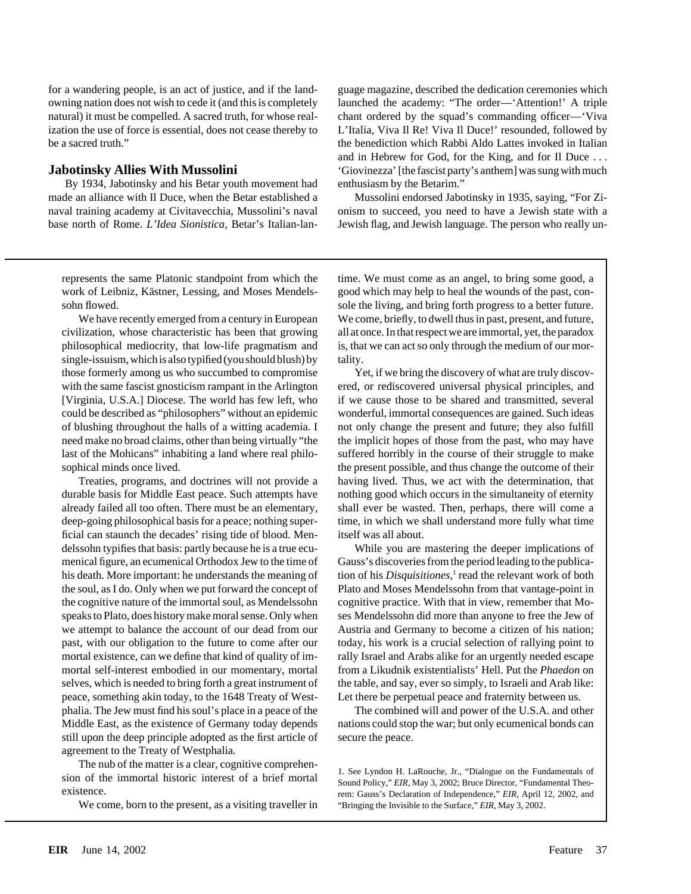By 1934, Jabotinsky and his Betar youth movement had enthusiasm by the Betarim."

represents the same Platonic standpoint from which the time. We must come as an angel, to bring some good, a

civilization, whose characteristic has been that growing all at once. In that respect we are immortal, yet, the paradox philosophical mediocrity, that low-life pragmatism and is, that we can act so only through the medium of our morsingle-issuism, which is also typified (you should blush) by tality. those formerly among us who succumbed to compromise Yet, if we bring the discovery of what are truly discovwith the same fascist gnosticism rampant in the Arlington ered, or rediscovered universal physical principles, and [Virginia, U.S.A.] Diocese. The world has few left, who if we cause those to be shared and transmitted, several could be described as "philosophers" without an epidemic wonderful, immortal consequences are gained. Such ideas of blushing throughout the halls of a witting academia. I not only change the present and future; they also fulfill need make no broad claims, other than being virtually "the the implicit hopes of those from the past, who may have last of the Mohicans" inhabiting a land where real philo- suffered horribly in the course of their struggle to make sophical minds once lived. the present possible, and thus change the outcome of their

durable basis for Middle East peace. Such attempts have nothing good which occurs in the simultaneity of eternity already failed all too often. There must be an elementary, shall ever be wasted. Then, perhaps, there will come a deep-going philosophical basis for a peace; nothing super- time, in which we shall understand more fully what time ficial can staunch the decades' rising tide of blood. Men- itself was all about. delssohn typifies that basis: partly because he is a true ecu- While you are mastering the deeper implications of menical figure, an ecumenical Orthodox Jew to the time of Gauss's discoveries from the period leading to the publicahis death. More important: he understands the meaning of tion of his *Disquisitiones*,<sup>1</sup> read the relevant work of both the soul, as I do. Only when we put forward the concept of Plato and Moses Mendelssohn from that vantage-point in the cognitive nature of the immortal soul, as Mendelssohn cognitive practice. With that in view, remember that Mospeaks to Plato, does history make moral sense. Only when ses Mendelssohn did more than anyone to free the Jew of we attempt to balance the account of our dead from our Austria and Germany to become a citizen of his nation; past, with our obligation to the future to come after our today, his work is a crucial selection of rallying point to mortal existence, can we define that kind of quality of im- rally Israel and Arabs alike for an urgently needed escape mortal self-interest embodied in our momentary, mortal from a Likudnik existentialists' Hell. Put the *Phaedon* on selves, which is needed to bring forth a great instrument of the table, and say, ever so simply, to Israeli and Arab like: peace, something akin today, to the 1648 Treaty of West- Let there be perpetual peace and fraternity between us. phalia. The Jew must find his soul's place in a peace of the The combined will and power of the U.S.A. and other Middle East, as the existence of Germany today depends nations could stop the war; but only ecumenical bonds can still upon the deep principle adopted as the first article of secure the peace. agreement to the Treaty of Westphalia.

The nub of the matter is a clear, cognitive comprehen-<br>sion of the immortal historic interest of a brief mortal<br>existence.<br>existence.<br>Fig. May 3, 2002; Bruce Director, "Fundamental Theo-<br>existence.

We come, born to the present, as a visiting traveller in "Bringing the Invisible to the Surface," *EIR*, May 3, 2002.

for a wandering people, is an act of justice, and if the land- guage magazine, described the dedication ceremonies which owning nation does not wish to cede it (and this is completely launched the academy: "The order—'Attention!' A triple natural) it must be compelled. A sacred truth, for whose real- chant ordered by the squad's commanding officer—'Viva ization the use of force is essential, does not cease thereby to L'Italia, Viva Il Re! Viva Il Duce!' resounded, followed by be a sacred truth." the benediction which Rabbi Aldo Lattes invoked in Italian and in Hebrew for God, for the King, and for Il Duce . . . **Jabotinsky Allies With Mussolini** 'Giovinezza' [the fascist party's anthem] was sung with much

made an alliance with Il Duce, when the Betar established a Mussolini endorsed Jabotinsky in 1935, saying, "For Zinaval training academy at Civitavecchia, Mussolini's naval onism to succeed, you need to have a Jewish state with a base north of Rome. *L'Idea Sionistica,* Betar's Italian-lan- Jewish flag, and Jewish language. The person who really un-

work of Leibniz, Kästner, Lessing, and Moses Mendels- good which may help to heal the wounds of the past, consohn flowed. sole the living, and bring forth progress to a better future. We have recently emerged from a century in European We come, briefly, to dwell thus in past, present, and future,

Treaties, programs, and doctrines will not provide a having lived. Thus, we act with the determination, that

rem: Gauss's Declaration of Independence," *EIR*, April 12, 2002, and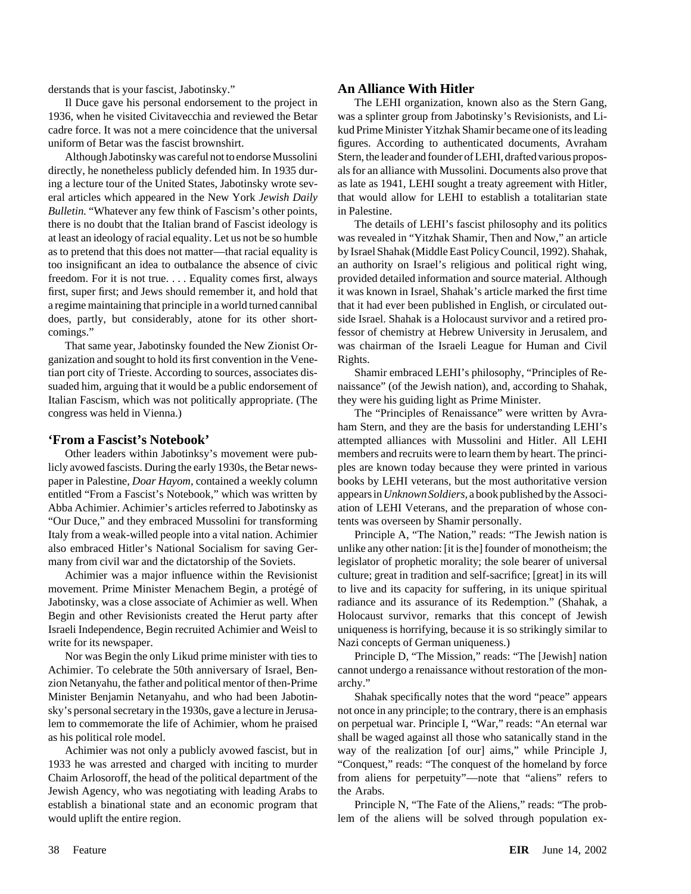derstands that is your fascist, Jabotinsky." **An Alliance With Hitler**

1936, when he visited Civitavecchia and reviewed the Betar was a splinter group from Jabotinsky's Revisionists, and Licadre force. It was not a mere coincidence that the universal kud Prime Minister Yitzhak Shamir became one of its leading uniform of Betar was the fascist brownshirt. figures. According to authenticated documents, Avraham

directly, he nonetheless publicly defended him. In 1935 dur- als for an alliance with Mussolini. Documents also prove that ing a lecture tour of the United States, Jabotinsky wrote sev- as late as 1941, LEHI sought a treaty agreement with Hitler, eral articles which appeared in the New York *Jewish Daily* that would allow for LEHI to establish a totalitarian state *Bulletin.* "Whatever any few think of Fascism's other points, in Palestine. there is no doubt that the Italian brand of Fascist ideology is The details of LEHI's fascist philosophy and its politics at least an ideology of racial equality. Let us not be so humble was revealed in "Yitzhak Shamir, Then and Now," an article as to pretend that this does not matter—that racial equality is by Israel Shahak (Middle East Policy Council, 1992). Shahak, too insignificant an idea to outbalance the absence of civic an authority on Israel's religious and political right wing, freedom. For it is not true. . . . Equality comes first, always provided detailed information and source material. Although first, super first; and Jews should remember it, and hold that it was known in Israel, Shahak's article marked the first time a regime maintaining that principle in a world turned cannibal that it had ever been published in English, or circulated outdoes, partly, but considerably, atone for its other short- side Israel. Shahak is a Holocaust survivor and a retired procomings." fessor of chemistry at Hebrew University in Jerusalem, and

ganization and sought to hold its first convention in the Vene- Rights. tian port city of Trieste. According to sources, associates dis- Shamir embraced LEHI's philosophy, "Principles of Resuaded him, arguing that it would be a public endorsement of naissance" (of the Jewish nation), and, according to Shahak, Italian Fascism, which was not politically appropriate. (The they were his guiding light as Prime Minister. congress was held in Vienna.) The "Principles of Renaissance" were written by Avra-

licly avowed fascists. During the early 1930s, the Betar news-<br>ples are known today because they were printed in various paper in Palestine, *Doar Hayom,* contained a weekly column books by LEHI veterans, but the most authoritative version entitled "From a Fascist's Notebook," which was written by appears in*Unknown Soldiers,* a book published by the Associ-Abba Achimier. Achimier's articles referred to Jabotinsky as ation of LEHI Veterans, and the preparation of whose con- "Our Duce," and they embraced Mussolini for transforming tents was overseen by Shamir personally. Italy from a weak-willed people into a vital nation. Achimier Principle A, "The Nation," reads: "The Jewish nation is also embraced Hitler's National Socialism for saving Ger- unlike any other nation: [it is the] founder of monotheism; the many from civil war and the dictatorship of the Soviets. legislator of prophetic morality; the sole bearer of universal

movement. Prime Minister Menachem Begin, a protégé of to live and its capacity for suffering, in its unique spiritual Jabotinsky, was a close associate of Achimier as well. When radiance and its assurance of its Redemption." (Shahak, a Begin and other Revisionists created the Herut party after Holocaust survivor, remarks that this concept of Jewish Israeli Independence, Begin recruited Achimier and Weisl to uniqueness is horrifying, because it is so strikingly similar to write for its newspaper. Nazi concepts of German uniqueness.)

Achimier. To celebrate the 50th anniversary of Israel, Ben- cannot undergo a renaissance without restoration of the monzion Netanyahu, the father and political mentor of then-Prime archy." Minister Benjamin Netanyahu, and who had been Jabotin- Shahak specifically notes that the word "peace" appears sky's personal secretary in the 1930s, gave a lecture in Jerusa- not once in any principle; to the contrary, there is an emphasis lem to commemorate the life of Achimier, whom he praised on perpetual war. Principle I, "War," reads: "An eternal war as his political role model. shall be waged against all those who satanically stand in the

1933 he was arrested and charged with inciting to murder "Conquest," reads: "The conquest of the homeland by force Chaim Arlosoroff, the head of the political department of the from aliens for perpetuity"—note that "aliens" refers to Jewish Agency, who was negotiating with leading Arabs to the Arabs. establish a binational state and an economic program that Principle N, "The Fate of the Aliens," reads: "The probwould uplift the entire region. lem of the aliens will be solved through population ex-

Il Duce gave his personal endorsement to the project in The LEHI organization, known also as the Stern Gang, Although Jabotinsky was careful not to endorse Mussolini Stern, the leader and founder of LEHI, drafted various propos-

That same year, Jabotinsky founded the New Zionist Or- was chairman of the Israeli League for Human and Civil

ham Stern, and they are the basis for understanding LEHI's **From a Fascist's Notebook'** attempted alliances with Mussolini and Hitler. All LEHI Other leaders within Jabotinksy's movement were pub- members and recruits were to learn them by heart. The princi-

Achimier was a major influence within the Revisionist culture; great in tradition and self-sacrifice; [great] in its will

Nor was Begin the only Likud prime minister with ties to Principle D, "The Mission," reads: "The [Jewish] nation

Achimier was not only a publicly avowed fascist, but in way of the realization [of our] aims," while Principle J,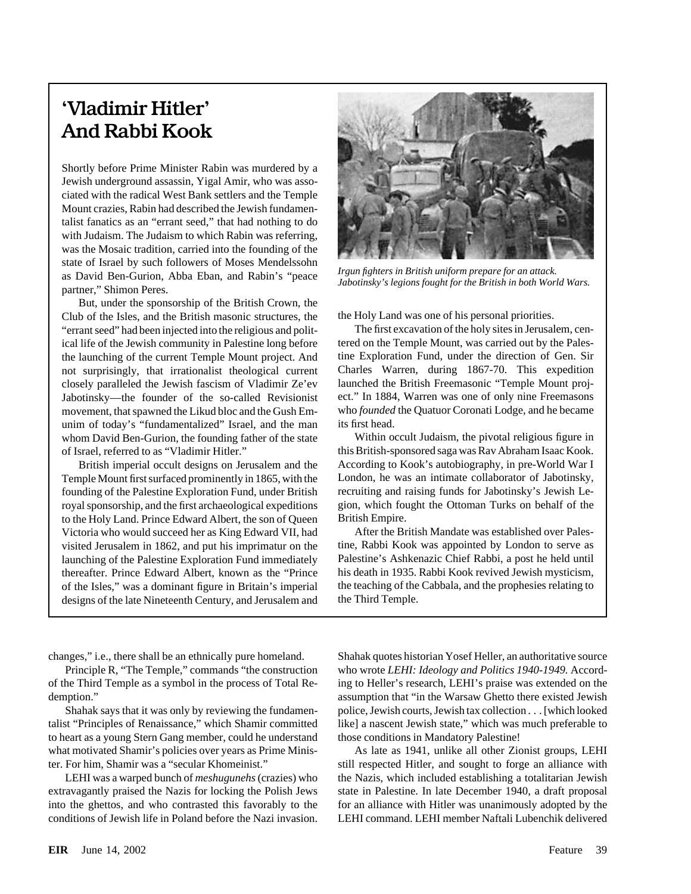## 'Vladimir Hitler' And Rabbi Kook

Shortly before Prime Minister Rabin was murdered by a Jewish underground assassin, Yigal Amir, who was associated with the radical West Bank settlers and the Temple Mount crazies, Rabin had described the Jewish fundamentalist fanatics as an "errant seed," that had nothing to do with Judaism. The Judaism to which Rabin was referring, was the Mosaic tradition, carried into the founding of the state of Israel by such followers of Moses Mendelssohn<br>as David Ben-Gurion, Abba Eban, and Rabin's "peace *Irgun fighters in British uniform prepare for an attack*.<br>partner," Shimon Peres.

But, under the sponsorship of the British Crown, the Club of the Isles, and the British masonic structures, the the Holy Land was one of his personal priorities. "errant seed" had been injected into the religious and polit- The first excavation of the holy sites in Jerusalem, cenical life of the Jewish community in Palestine long before tered on the Temple Mount, was carried out by the Palesthe launching of the current Temple Mount project. And tine Exploration Fund, under the direction of Gen. Sir not surprisingly, that irrationalist theological current Charles Warren, during 1867-70. This expedition closely paralleled the Jewish fascism of Vladimir Ze'ev launched the British Freemasonic "Temple Mount proj-Jabotinsky—the founder of the so-called Revisionist ect." In 1884, Warren was one of only nine Freemasons movement, that spawned the Likud bloc and the Gush Em- who *founded* the Quatuor Coronati Lodge, and he became unim of today's "fundamentalized" Israel, and the man its first head. whom David Ben-Gurion, the founding father of the state Within occult Judaism, the pivotal religious figure in of Israel, referred to as "Vladimir Hitler." this British-sponsored saga was Rav Abraham Isaac Kook.

Temple Mount first surfaced prominently in 1865, with the London, he was an intimate collaborator of Jabotinsky, to the Holy Land. Prince Edward Albert, the son of Queen British Empire. Victoria who would succeed her as King Edward VII, had After the British Mandate was established over Palesvisited Jerusalem in 1862, and put his imprimatur on the tine, Rabbi Kook was appointed by London to serve as launching of the Palestine Exploration Fund immediately Palestine's Ashkenazic Chief Rabbi, a post he held until thereafter. Prince Edward Albert, known as the "Prince his death in 1935. Rabbi Kook revived Jewish mysticism, of the Isles," was a dominant figure in Britain's imperial the teaching of the Cabbala, and the prophesies relating to designs of the late Nineteenth Century, and Jerusalem and the Third Temple.



British imperial occult designs on Jerusalem and the According to Kook's autobiography, in pre-World War I founding of the Palestine Exploration Fund, under British recruiting and raising funds for Jabotinsky's Jewish Leroyal sponsorship, and the first archaeological expeditions gion, which fought the Ottoman Turks on behalf of the

to heart as a young Stern Gang member, could he understand those conditions in Mandatory Palestine!

changes," i.e., there shall be an ethnically pure homeland. Shahak quotes historian Yosef Heller, an authoritative source Principle R, "The Temple," commands "the construction who wrote *LEHI: Ideology and Politics 1940-1949.* Accordof the Third Temple as a symbol in the process of Total Re- ing to Heller's research, LEHI's praise was extended on the demption." assumption that "in the Warsaw Ghetto there existed Jewish Shahak says that it was only by reviewing the fundamen- police, Jewish courts, Jewish tax collection . . . [which looked talist "Principles of Renaissance," which Shamir committed like] a nascent Jewish state," which was much preferable to

what motivated Shamir's policies over years as Prime Minis-<br>As late as 1941, unlike all other Zionist groups, LEHI ter. For him, Shamir was a "secular Khomeinist." still respected Hitler, and sought to forge an alliance with LEHI was a warped bunch of *meshugunehs*(crazies) who the Nazis, which included establishing a totalitarian Jewish extravagantly praised the Nazis for locking the Polish Jews state in Palestine. In late December 1940, a draft proposal into the ghettos, and who contrasted this favorably to the for an alliance with Hitler was unanimously adopted by the conditions of Jewish life in Poland before the Nazi invasion. LEHI command. LEHI member Naftali Lubenchik delivered